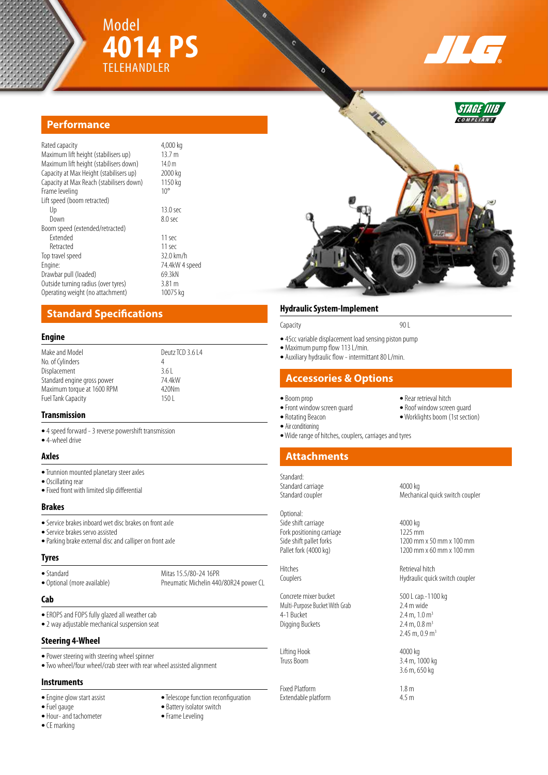



STAGE II **C O M P L I A N T**



| Rated capacity<br>Maximum lift height (stabilisers up)<br>Maximum lift height (stabilisers down)<br>Capacity at Max Height (stabilisers up)<br>Capacity at Max Reach (stabilisers down) | 4,000 kg<br>13.7 m<br>14.0 m<br>2000 kg<br>1150 kg |
|-----------------------------------------------------------------------------------------------------------------------------------------------------------------------------------------|----------------------------------------------------|
| Frame leveling                                                                                                                                                                          | $10^{\circ}$                                       |
| Lift speed (boom retracted)                                                                                                                                                             |                                                    |
| Up                                                                                                                                                                                      | 13.0 <sub>sec</sub>                                |
| Down                                                                                                                                                                                    | 8.0 <sub>sec</sub>                                 |
| Boom speed (extended/retracted)                                                                                                                                                         |                                                    |
| <b>Fxtended</b>                                                                                                                                                                         | 11 sec                                             |
| Retracted                                                                                                                                                                               | 11 sec                                             |
| Top travel speed                                                                                                                                                                        | 32.0 km/h                                          |
| Engine:                                                                                                                                                                                 | 74.4kW 4 speed                                     |
| Drawbar pull (loaded)                                                                                                                                                                   | 69.3kN                                             |
| Outside turning radius (over tyres)                                                                                                                                                     | 3.81 <sub>m</sub>                                  |
| Operating weight (no attachment)                                                                                                                                                        | 10075 kg                                           |

# **Standard Specifications**

## **Engine**

| Make and Model<br>No. of Cylinders<br>Displacement<br>Standard engine gross power<br>Maximum torque at 1600 RPM | Deutz TCD 3.6 L4<br>4<br>361<br>74.4kW<br>420Nm |
|-----------------------------------------------------------------------------------------------------------------|-------------------------------------------------|
|                                                                                                                 |                                                 |
| Fuel Tank Capacity                                                                                              | 150 L                                           |

### **Transmission**

- **•** 4 speed forward 3 reverse powershift transmission
- **•** 4-wheel drive

#### **Axles**

- **•** Trunnion mounted planetary steer axles
- **•** Oscillating rear
- **•** Fixed front with limited slip differential

#### **Brakes**

- **•** Service brakes inboard wet disc brakes on front axle
- **•** Service brakes servo assisted
- **•** Parking brake external disc and calliper on front axle

### **Tyres**

• Standard Mitas 15.5/80-24 16PR<br>• Optional (more available) Pneumatic Michelin 44

## **Cab**

- **•** EROPS and FOPS fully glazed all weather cab
- **•** 2 way adjustable mechanical suspension seat

## **Steering 4-Wheel**

- **•** Power steering with steering wheel spinner
- **•** Two wheel/four wheel/crab steer with rear wheel assisted alignment

## **Instruments**

- 
- 
- Hour- and tachometer
- **•** CE marking
- Engine glow start assist **•** Telescope function reconfiguration **•** Telescope function **·** Battery isolator switch

Pneumatic Michelin 440/80R24 power CL

- Battery isolator switch<br>• Frame Leveling
- 

## **Hydraulic System-Implement**

#### Capacity 90 L

- **•** 45cc variable displacement load sensing piston pump
- **•** Maximum pump flow 113 L/min.
- **•** Auxiliary hydraulic flow intermittant 80 L/min.

# **Accessories & Options**

- Front window screen guard **•** Rotating Beacon
- 
- **•** Air conditioning
- **•** Wide range of hitches, couplers, carriages and tyres

# **Attachments**

Standard:

# Optional:

Side shift carriage 4000 kg Fork positioning carriage<br>Side shift pallet forks

Concrete mixer bucket 500 L cap.-1100 kg<br>
Multi-Purpose Bucket With Grab 2.4 m wide Multi-Purpose Bucket With Grab<br>4-1 Bucket Digging Buckets

Lifting Hook 4000 kg

Fixed Platform<br>Extendable platform 1.8 m Extendable platform

- **•** Boom prop **•** Rear retrieval hitch
	-
	- Worklights boom (1st section)
	-
- 

Standard carriage 4000 kg Standard coupler Mechanical quick switch coupler

 $1200$  mm x 60 mm x 100 mm

Hitches Retrieval hitch<br>
Retrieval hitch<br>
Hydraulic quicl Hydraulic quick switch coupler

> $2.4 \text{ m}$ ,  $1.0 \text{ m}^3$ <br> $2.4 \text{ m}$ ,  $0.8 \text{ m}^3$  $2.45 \text{ m}$ , 0.9 m<sup>3</sup>

3.4 m, 1000 kg 3.6 m, 650 kg

- 
- 

Side shift pallet forks<br>
Pallet fork (4000 kg)<br>
Pallet fork (4000 kg)<br>
1200 mm x 60 mm x 100 mm